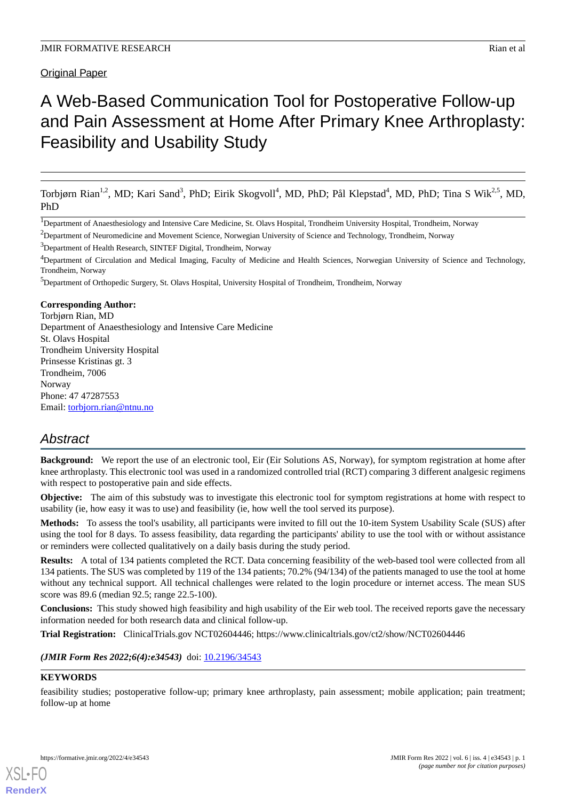Original Paper

# A Web-Based Communication Tool for Postoperative Follow-up and Pain Assessment at Home After Primary Knee Arthroplasty: Feasibility and Usability Study

Torbjørn Rian<sup>1,2</sup>, MD; Kari Sand<sup>3</sup>, PhD; Eirik Skogvoll<sup>4</sup>, MD, PhD; Pål Klepstad<sup>4</sup>, MD, PhD; Tina S Wik<sup>2,5</sup>, MD, PhD

<sup>2</sup>Department of Neuromedicine and Movement Science, Norwegian University of Science and Technology, Trondheim, Norway

<sup>3</sup>Department of Health Research, SINTEF Digital, Trondheim, Norway

<sup>4</sup>Department of Circulation and Medical Imaging, Faculty of Medicine and Health Sciences, Norwegian University of Science and Technology, Trondheim, Norway

<sup>5</sup>Department of Orthopedic Surgery, St. Olavs Hospital, University Hospital of Trondheim, Trondheim, Norway

#### **Corresponding Author:**

Torbjørn Rian, MD Department of Anaesthesiology and Intensive Care Medicine St. Olavs Hospital Trondheim University Hospital Prinsesse Kristinas gt. 3 Trondheim, 7006 Norway Phone: 47 47287553 Email: [torbjorn.rian@ntnu.no](mailto:torbjorn.rian@ntnu.no)

# *Abstract*

**Background:** We report the use of an electronic tool, Eir (Eir Solutions AS, Norway), for symptom registration at home after knee arthroplasty. This electronic tool was used in a randomized controlled trial (RCT) comparing 3 different analgesic regimens with respect to postoperative pain and side effects.

**Objective:** The aim of this substudy was to investigate this electronic tool for symptom registrations at home with respect to usability (ie, how easy it was to use) and feasibility (ie, how well the tool served its purpose).

**Methods:** To assess the tool's usability, all participants were invited to fill out the 10-item System Usability Scale (SUS) after using the tool for 8 days. To assess feasibility, data regarding the participants' ability to use the tool with or without assistance or reminders were collected qualitatively on a daily basis during the study period.

**Results:** A total of 134 patients completed the RCT. Data concerning feasibility of the web-based tool were collected from all 134 patients. The SUS was completed by 119 of the 134 patients; 70.2% (94/134) of the patients managed to use the tool at home without any technical support. All technical challenges were related to the login procedure or internet access. The mean SUS score was 89.6 (median 92.5; range 22.5-100).

**Conclusions:** This study showed high feasibility and high usability of the Eir web tool. The received reports gave the necessary information needed for both research data and clinical follow-up.

**Trial Registration:** ClinicalTrials.gov NCT02604446; https://www.clinicaltrials.gov/ct2/show/NCT02604446

(JMIR Form Res 2022;6(4):e34543) doi: [10.2196/34543](http://dx.doi.org/10.2196/34543)

#### **KEYWORDS**

[XSL](http://www.w3.org/Style/XSL)•FO **[RenderX](http://www.renderx.com/)**

feasibility studies; postoperative follow-up; primary knee arthroplasty, pain assessment; mobile application; pain treatment; follow-up at home

<sup>&</sup>lt;sup>1</sup>Department of Anaesthesiology and Intensive Care Medicine, St. Olavs Hospital, Trondheim University Hospital, Trondheim, Norway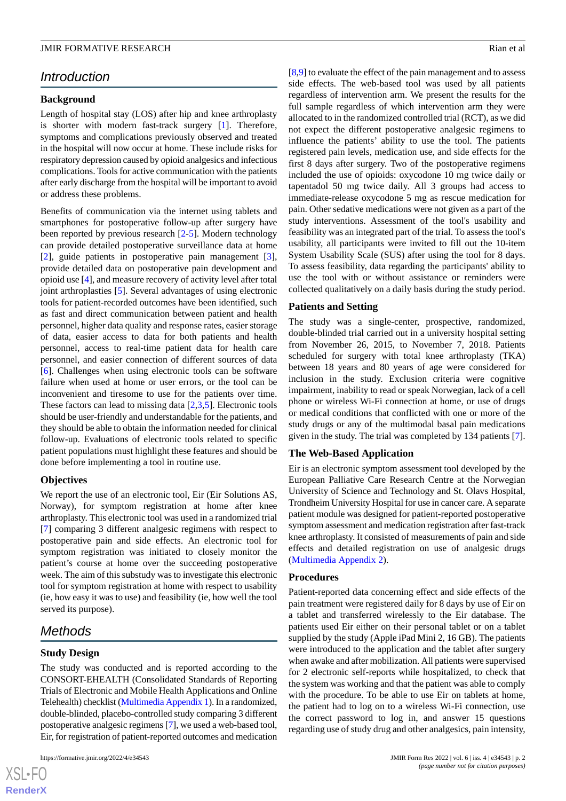# *Introduction*

#### **Background**

Length of hospital stay (LOS) after hip and knee arthroplasty is shorter with modern fast-track surgery [[1\]](#page-6-0). Therefore, symptoms and complications previously observed and treated in the hospital will now occur at home. These include risks for respiratory depression caused by opioid analgesics and infectious complications. Tools for active communication with the patients after early discharge from the hospital will be important to avoid or address these problems.

Benefits of communication via the internet using tablets and smartphones for postoperative follow-up after surgery have been reported by previous research [\[2](#page-6-1)-[5\]](#page-6-2). Modern technology can provide detailed postoperative surveillance data at home [[2\]](#page-6-1), guide patients in postoperative pain management [[3\]](#page-6-3), provide detailed data on postoperative pain development and opioid use [[4\]](#page-6-4), and measure recovery of activity level after total joint arthroplasties [[5\]](#page-6-2). Several advantages of using electronic tools for patient-recorded outcomes have been identified, such as fast and direct communication between patient and health personnel, higher data quality and response rates, easier storage of data, easier access to data for both patients and health personnel, access to real-time patient data for health care personnel, and easier connection of different sources of data [[6\]](#page-6-5). Challenges when using electronic tools can be software failure when used at home or user errors, or the tool can be inconvenient and tiresome to use for the patients over time. These factors can lead to missing data [\[2](#page-6-1),[3](#page-6-3)[,5](#page-6-2)]. Electronic tools should be user-friendly and understandable for the patients, and they should be able to obtain the information needed for clinical follow-up. Evaluations of electronic tools related to specific patient populations must highlight these features and should be done before implementing a tool in routine use.

#### **Objectives**

We report the use of an electronic tool, Eir (Eir Solutions AS, Norway), for symptom registration at home after knee arthroplasty. This electronic tool was used in a randomized trial [[7\]](#page-6-6) comparing 3 different analgesic regimens with respect to postoperative pain and side effects. An electronic tool for symptom registration was initiated to closely monitor the patient's course at home over the succeeding postoperative week. The aim of this substudy was to investigate this electronic tool for symptom registration at home with respect to usability (ie, how easy it was to use) and feasibility (ie, how well the tool served its purpose).

# *Methods*

#### **Study Design**

The study was conducted and is reported according to the CONSORT-EHEALTH (Consolidated Standards of Reporting Trials of Electronic and Mobile Health Applications and Online Telehealth) checklist [\(Multimedia Appendix 1\)](#page-6-7). In a randomized, double-blinded, placebo-controlled study comparing 3 different postoperative analgesic regimens [\[7](#page-6-6)], we used a web-based tool, Eir, for registration of patient-reported outcomes and medication

[[8](#page-7-0)[,9](#page-7-1)] to evaluate the effect of the pain management and to assess side effects. The web-based tool was used by all patients regardless of intervention arm. We present the results for the full sample regardless of which intervention arm they were allocated to in the randomized controlled trial (RCT), as we did not expect the different postoperative analgesic regimens to influence the patients' ability to use the tool. The patients registered pain levels, medication use, and side effects for the first 8 days after surgery. Two of the postoperative regimens included the use of opioids: oxycodone 10 mg twice daily or tapentadol 50 mg twice daily. All 3 groups had access to immediate-release oxycodone 5 mg as rescue medication for pain. Other sedative medications were not given as a part of the study interventions. Assessment of the tool's usability and feasibility was an integrated part of the trial. To assess the tool's usability, all participants were invited to fill out the 10-item System Usability Scale (SUS) after using the tool for 8 days. To assess feasibility, data regarding the participants' ability to use the tool with or without assistance or reminders were collected qualitatively on a daily basis during the study period.

#### **Patients and Setting**

The study was a single-center, prospective, randomized, double-blinded trial carried out in a university hospital setting from November 26, 2015, to November 7, 2018. Patients scheduled for surgery with total knee arthroplasty (TKA) between 18 years and 80 years of age were considered for inclusion in the study. Exclusion criteria were cognitive impairment, inability to read or speak Norwegian, lack of a cell phone or wireless Wi-Fi connection at home, or use of drugs or medical conditions that conflicted with one or more of the study drugs or any of the multimodal basal pain medications given in the study. The trial was completed by 134 patients [[7\]](#page-6-6).

#### **The Web-Based Application**

Eir is an electronic symptom assessment tool developed by the European Palliative Care Research Centre at the Norwegian University of Science and Technology and St. Olavs Hospital, Trondheim University Hospital for use in cancer care. A separate patient module was designed for patient-reported postoperative symptom assessment and medication registration after fast-track knee arthroplasty. It consisted of measurements of pain and side effects and detailed registration on use of analgesic drugs ([Multimedia Appendix 2](#page-6-8)).

#### **Procedures**

Patient-reported data concerning effect and side effects of the pain treatment were registered daily for 8 days by use of Eir on a tablet and transferred wirelessly to the Eir database. The patients used Eir either on their personal tablet or on a tablet supplied by the study (Apple iPad Mini 2, 16 GB). The patients were introduced to the application and the tablet after surgery when awake and after mobilization. All patients were supervised for 2 electronic self-reports while hospitalized, to check that the system was working and that the patient was able to comply with the procedure. To be able to use Eir on tablets at home, the patient had to log on to a wireless Wi-Fi connection, use the correct password to log in, and answer 15 questions regarding use of study drug and other analgesics, pain intensity,

 $XS$ -FO **[RenderX](http://www.renderx.com/)**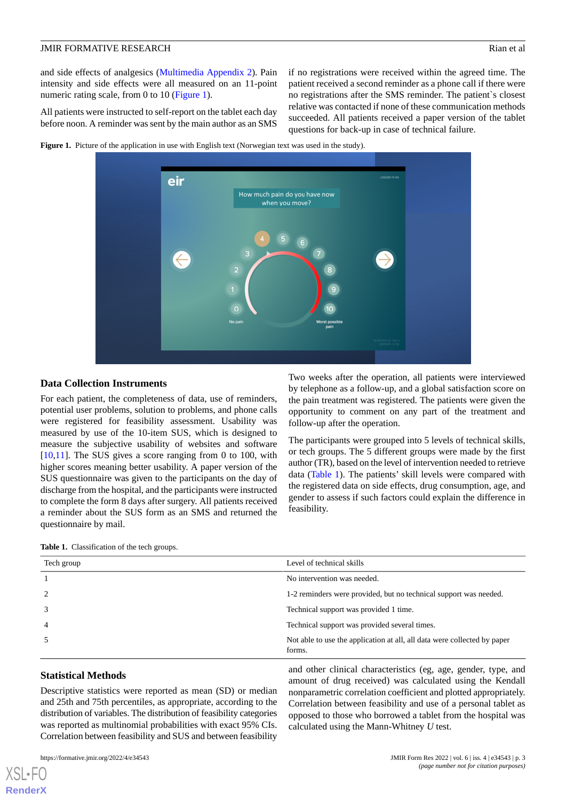and side effects of analgesics ([Multimedia Appendix 2](#page-6-8)). Pain intensity and side effects were all measured on an 11-point numeric rating scale, from 0 to 10 [\(Figure 1\)](#page-2-0).

All patients were instructed to self-report on the tablet each day before noon. A reminder was sent by the main author as an SMS

if no registrations were received within the agreed time. The patient received a second reminder as a phone call if there were no registrations after the SMS reminder. The patient`s closest relative was contacted if none of these communication methods succeeded. All patients received a paper version of the tablet questions for back-up in case of technical failure.

Two weeks after the operation, all patients were interviewed by telephone as a follow-up, and a global satisfaction score on the pain treatment was registered. The patients were given the opportunity to comment on any part of the treatment and

The participants were grouped into 5 levels of technical skills, or tech groups. The 5 different groups were made by the first author (TR), based on the level of intervention needed to retrieve data ([Table 1](#page-2-1)). The patients' skill levels were compared with the registered data on side effects, drug consumption, age, and gender to assess if such factors could explain the difference in

follow-up after the operation.

<span id="page-2-0"></span>**Figure 1.** Picture of the application in use with English text (Norwegian text was used in the study).



#### **Data Collection Instruments**

For each patient, the completeness of data, use of reminders, potential user problems, solution to problems, and phone calls were registered for feasibility assessment. Usability was measured by use of the 10-item SUS, which is designed to measure the subjective usability of websites and software [[10](#page-7-2)[,11](#page-7-3)]. The SUS gives a score ranging from 0 to 100, with higher scores meaning better usability. A paper version of the SUS questionnaire was given to the participants on the day of discharge from the hospital, and the participants were instructed to complete the form 8 days after surgery. All patients received a reminder about the SUS form as an SMS and returned the questionnaire by mail.

<span id="page-2-1"></span>

| <b>Table 1.</b> Classification of the tech groups. |                                                                                    |
|----------------------------------------------------|------------------------------------------------------------------------------------|
| Tech group                                         | Level of technical skills                                                          |
|                                                    | No intervention was needed.                                                        |
| $\overline{2}$                                     | 1-2 reminders were provided, but no technical support was needed.                  |
| 3                                                  | Technical support was provided 1 time.                                             |
| $\overline{4}$                                     | Technical support was provided several times.                                      |
|                                                    | Not able to use the application at all, all data were collected by paper<br>forms. |

feasibility.

#### **Statistical Methods**

Descriptive statistics were reported as mean (SD) or median and 25th and 75th percentiles, as appropriate, according to the distribution of variables. The distribution of feasibility categories was reported as multinomial probabilities with exact 95% CIs. Correlation between feasibility and SUS and between feasibility

[XSL](http://www.w3.org/Style/XSL)•FO **[RenderX](http://www.renderx.com/)**

and other clinical characteristics (eg, age, gender, type, and amount of drug received) was calculated using the Kendall nonparametric correlation coefficient and plotted appropriately. Correlation between feasibility and use of a personal tablet as opposed to those who borrowed a tablet from the hospital was calculated using the Mann-Whitney *U* test.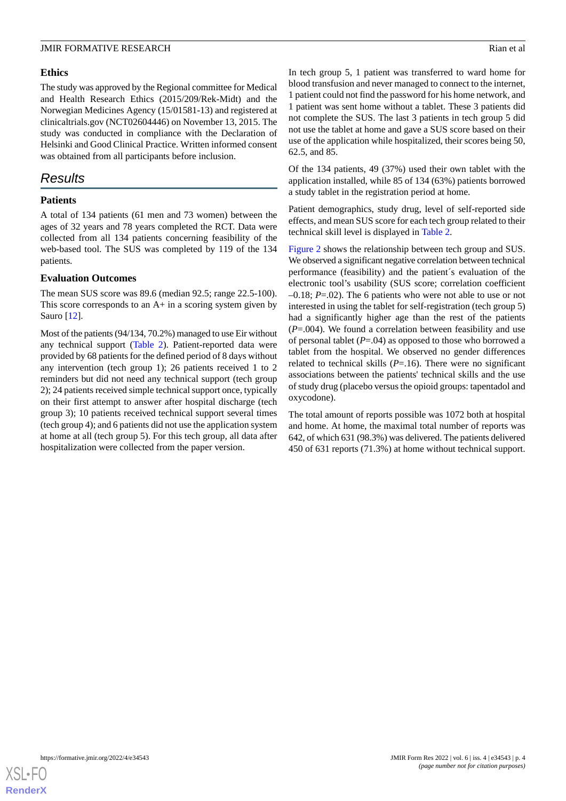#### **Ethics**

The study was approved by the Regional committee for Medical and Health Research Ethics (2015/209/Rek-Midt) and the Norwegian Medicines Agency (15/01581-13) and registered at clinicaltrials.gov (NCT02604446) on November 13, 2015. The study was conducted in compliance with the Declaration of Helsinki and Good Clinical Practice. Written informed consent was obtained from all participants before inclusion.

## *Results*

#### **Patients**

A total of 134 patients (61 men and 73 women) between the ages of 32 years and 78 years completed the RCT. Data were collected from all 134 patients concerning feasibility of the web-based tool. The SUS was completed by 119 of the 134 patients.

#### **Evaluation Outcomes**

The mean SUS score was 89.6 (median 92.5; range 22.5-100). This score corresponds to an A+ in a scoring system given by Sauro [[12\]](#page-7-4).

Most of the patients (94/134, 70.2%) managed to use Eir without any technical support [\(Table 2\)](#page-4-0). Patient-reported data were provided by 68 patients for the defined period of 8 days without any intervention (tech group 1); 26 patients received 1 to 2 reminders but did not need any technical support (tech group 2); 24 patients received simple technical support once, typically on their first attempt to answer after hospital discharge (tech group 3); 10 patients received technical support several times (tech group 4); and 6 patients did not use the application system at home at all (tech group 5). For this tech group, all data after hospitalization were collected from the paper version.

In tech group 5, 1 patient was transferred to ward home for blood transfusion and never managed to connect to the internet, 1 patient could not find the password for his home network, and 1 patient was sent home without a tablet. These 3 patients did not complete the SUS. The last 3 patients in tech group 5 did not use the tablet at home and gave a SUS score based on their use of the application while hospitalized, their scores being 50, 62.5, and 85.

Of the 134 patients, 49 (37%) used their own tablet with the application installed, while 85 of 134 (63%) patients borrowed a study tablet in the registration period at home.

Patient demographics, study drug, level of self-reported side effects, and mean SUS score for each tech group related to their technical skill level is displayed in [Table 2](#page-4-0).

[Figure 2](#page-5-0) shows the relationship between tech group and SUS. We observed a significant negative correlation between technical performance (feasibility) and the patient´s evaluation of the electronic tool's usability (SUS score; correlation coefficient –0.18; *P*=.02). The 6 patients who were not able to use or not interested in using the tablet for self-registration (tech group 5) had a significantly higher age than the rest of the patients (*P*=.004). We found a correlation between feasibility and use of personal tablet (*P*=.04) as opposed to those who borrowed a tablet from the hospital. We observed no gender differences related to technical skills  $(P=16)$ . There were no significant associations between the patients' technical skills and the use of study drug (placebo versus the opioid groups: tapentadol and oxycodone).

The total amount of reports possible was 1072 both at hospital and home. At home, the maximal total number of reports was 642, of which 631 (98.3%) was delivered. The patients delivered 450 of 631 reports (71.3%) at home without technical support.

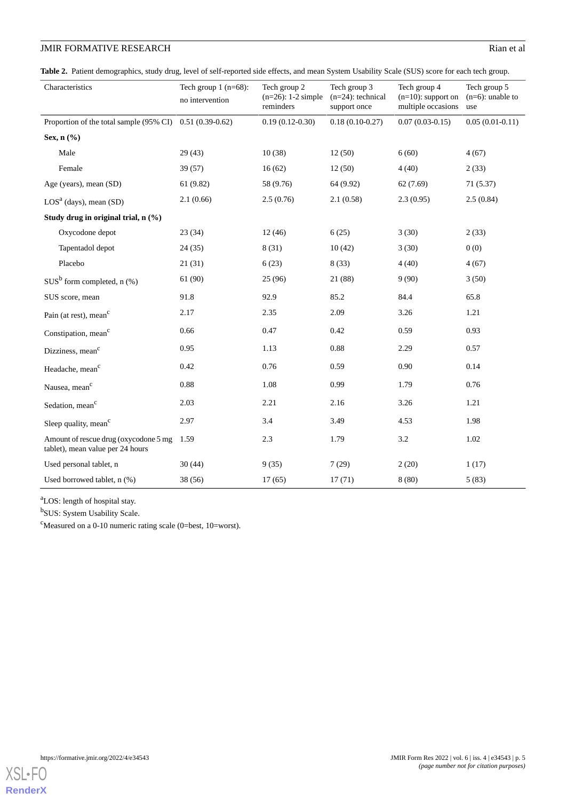## **JMIR FORMATIVE RESEARCH** Rian et al.

<span id="page-4-0"></span>**Table 2.** Patient demographics, study drug, level of self-reported side effects, and mean System Usability Scale (SUS) score for each tech group.

| Characteristics                                                           | Tech group $1$ (n=68):<br>no intervention | Tech group 2<br>$(n=26)$ : 1-2 simple<br>reminders | Tech group 3<br>$(n=24)$ : technical<br>support once | Tech group 4<br>$(n=10)$ : support on<br>multiple occasions | Tech group 5<br>$(n=6)$ : unable to<br>use |
|---------------------------------------------------------------------------|-------------------------------------------|----------------------------------------------------|------------------------------------------------------|-------------------------------------------------------------|--------------------------------------------|
| Proportion of the total sample $(95\% \text{ CI})$ 0.51 $(0.39-0.62)$     |                                           | $0.19(0.12-0.30)$                                  | $0.18(0.10-0.27)$                                    | $0.07(0.03-0.15)$                                           | $0.05(0.01-0.11)$                          |
| Sex, $n$ $(\%)$                                                           |                                           |                                                    |                                                      |                                                             |                                            |
| Male                                                                      | 29(43)                                    | 10(38)                                             | 12(50)                                               | 6(60)                                                       | 4(67)                                      |
| Female                                                                    | 39(57)                                    | 16(62)                                             | 12(50)                                               | 4(40)                                                       | 2(33)                                      |
| Age (years), mean (SD)                                                    | 61(9.82)                                  | 58 (9.76)                                          | 64 (9.92)                                            | 62(7.69)                                                    | 71(5.37)                                   |
| $LOSa$ (days), mean (SD)                                                  | 2.1(0.66)                                 | 2.5(0.76)                                          | 2.1(0.58)                                            | 2.3(0.95)                                                   | 2.5(0.84)                                  |
| Study drug in original trial, n (%)                                       |                                           |                                                    |                                                      |                                                             |                                            |
| Oxycodone depot                                                           | 23(34)                                    | 12(46)                                             | 6(25)                                                | 3(30)                                                       | 2(33)                                      |
| Tapentadol depot                                                          | 24(35)                                    | 8(31)                                              | 10(42)                                               | 3(30)                                                       | 0(0)                                       |
| Placebo                                                                   | 21(31)                                    | 6(23)                                              | 8(33)                                                | 4(40)                                                       | 4(67)                                      |
| $SUS^b$ form completed, n $(\%)$                                          | 61 (90)                                   | 25(96)                                             | 21 (88)                                              | 9(90)                                                       | 3(50)                                      |
| SUS score, mean                                                           | 91.8                                      | 92.9                                               | 85.2                                                 | 84.4                                                        | 65.8                                       |
| Pain (at rest), mean <sup>c</sup>                                         | 2.17                                      | 2.35                                               | 2.09                                                 | 3.26                                                        | 1.21                                       |
| Constipation, mean <sup>c</sup>                                           | 0.66                                      | 0.47                                               | 0.42                                                 | 0.59                                                        | 0.93                                       |
| Dizziness, mean <sup>c</sup>                                              | 0.95                                      | 1.13                                               | 0.88                                                 | 2.29                                                        | 0.57                                       |
| Headache, mean <sup>c</sup>                                               | 0.42                                      | 0.76                                               | 0.59                                                 | 0.90                                                        | 0.14                                       |
| Nausea, mean <sup>c</sup>                                                 | 0.88                                      | 1.08                                               | 0.99                                                 | 1.79                                                        | 0.76                                       |
| Sedation, mean <sup>c</sup>                                               | 2.03                                      | 2.21                                               | 2.16                                                 | 3.26                                                        | 1.21                                       |
| Sleep quality, mean <sup>c</sup>                                          | 2.97                                      | 3.4                                                | 3.49                                                 | 4.53                                                        | 1.98                                       |
| Amount of rescue drug (oxycodone 5 mg<br>tablet), mean value per 24 hours | 1.59                                      | 2.3                                                | 1.79                                                 | 3.2                                                         | 1.02                                       |
| Used personal tablet, n                                                   | 30(44)                                    | 9(35)                                              | 7(29)                                                | 2(20)                                                       | 1(17)                                      |
| Used borrowed tablet, n (%)                                               | 38 (56)                                   | 17(65)                                             | 17(71)                                               | 8(80)                                                       | 5(83)                                      |

<sup>a</sup>LOS: length of hospital stay.

<sup>b</sup>SUS: System Usability Scale.

<sup>c</sup>Measured on a 0-10 numeric rating scale (0=best, 10=worst).

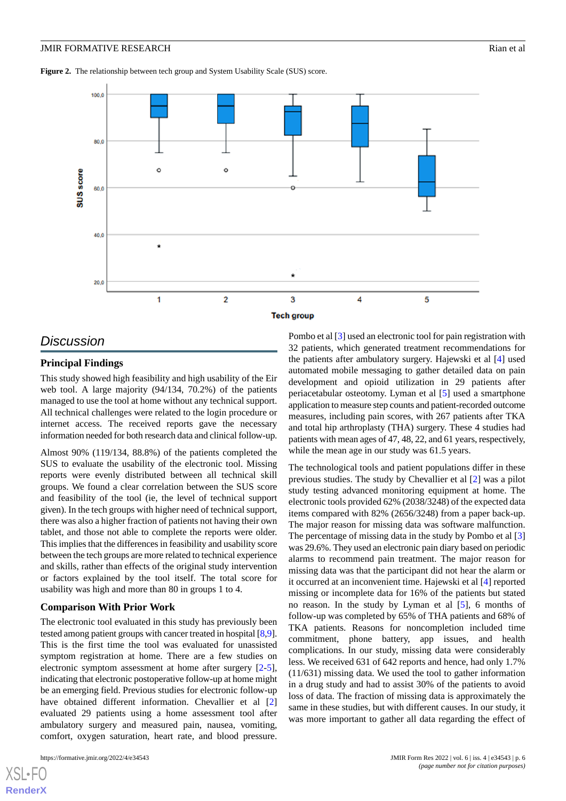<span id="page-5-0"></span>Figure 2. The relationship between tech group and System Usability Scale (SUS) score.



## *Discussion*

#### **Principal Findings**

This study showed high feasibility and high usability of the Eir web tool. A large majority (94/134, 70.2%) of the patients managed to use the tool at home without any technical support. All technical challenges were related to the login procedure or internet access. The received reports gave the necessary information needed for both research data and clinical follow-up.

Almost 90% (119/134, 88.8%) of the patients completed the SUS to evaluate the usability of the electronic tool. Missing reports were evenly distributed between all technical skill groups. We found a clear correlation between the SUS score and feasibility of the tool (ie, the level of technical support given). In the tech groups with higher need of technical support, there was also a higher fraction of patients not having their own tablet, and those not able to complete the reports were older. This implies that the differences in feasibility and usability score between the tech groups are more related to technical experience and skills, rather than effects of the original study intervention or factors explained by the tool itself. The total score for usability was high and more than 80 in groups 1 to 4.

#### **Comparison With Prior Work**

The electronic tool evaluated in this study has previously been tested among patient groups with cancer treated in hospital [[8,](#page-7-0)[9\]](#page-7-1). This is the first time the tool was evaluated for unassisted symptom registration at home. There are a few studies on electronic symptom assessment at home after surgery [\[2-](#page-6-1)[5\]](#page-6-2), indicating that electronic postoperative follow-up at home might be an emerging field. Previous studies for electronic follow-up have obtained different information. Chevallier et al [\[2](#page-6-1)] evaluated 29 patients using a home assessment tool after ambulatory surgery and measured pain, nausea, vomiting, comfort, oxygen saturation, heart rate, and blood pressure.

[XSL](http://www.w3.org/Style/XSL)•FO **[RenderX](http://www.renderx.com/)**

Pombo et al [\[3](#page-6-3)] used an electronic tool for pain registration with 32 patients, which generated treatment recommendations for the patients after ambulatory surgery. Hajewski et al [[4\]](#page-6-4) used automated mobile messaging to gather detailed data on pain development and opioid utilization in 29 patients after periacetabular osteotomy. Lyman et al [\[5](#page-6-2)] used a smartphone application to measure step counts and patient-recorded outcome measures, including pain scores, with 267 patients after TKA and total hip arthroplasty (THA) surgery. These 4 studies had patients with mean ages of 47, 48, 22, and 61 years, respectively, while the mean age in our study was 61.5 years.

The technological tools and patient populations differ in these previous studies. The study by Chevallier et al [[2](#page-6-1)] was a pilot study testing advanced monitoring equipment at home. The electronic tools provided 62% (2038/3248) of the expected data items compared with 82% (2656/3248) from a paper back-up. The major reason for missing data was software malfunction. The percentage of missing data in the study by Pombo et al [\[3](#page-6-3)] was 29.6%. They used an electronic pain diary based on periodic alarms to recommend pain treatment. The major reason for missing data was that the participant did not hear the alarm or it occurred at an inconvenient time. Hajewski et al [[4\]](#page-6-4) reported missing or incomplete data for 16% of the patients but stated no reason. In the study by Lyman et al [\[5](#page-6-2)], 6 months of follow-up was completed by 65% of THA patients and 68% of TKA patients. Reasons for noncompletion included time commitment, phone battery, app issues, and health complications. In our study, missing data were considerably less. We received 631 of 642 reports and hence, had only 1.7% (11/631) missing data. We used the tool to gather information in a drug study and had to assist 30% of the patients to avoid loss of data. The fraction of missing data is approximately the same in these studies, but with different causes. In our study, it was more important to gather all data regarding the effect of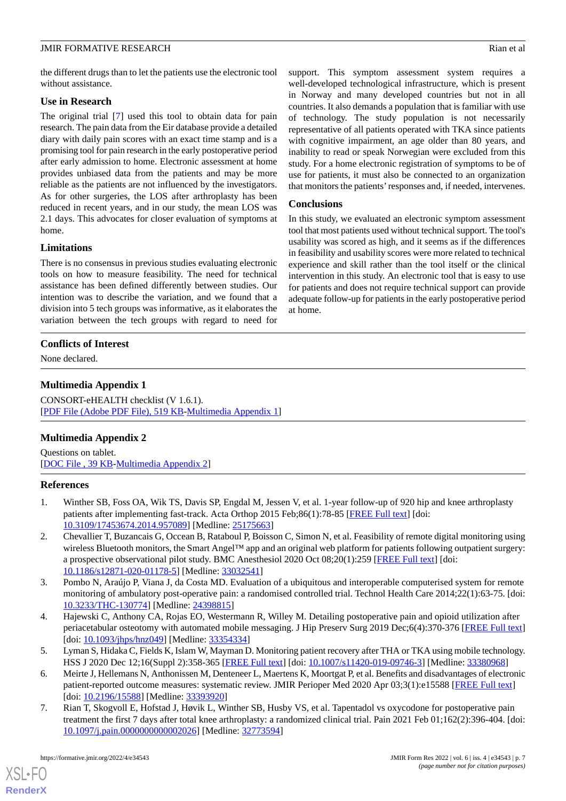the different drugs than to let the patients use the electronic tool without assistance.

#### **Use in Research**

The original trial [[7\]](#page-6-6) used this tool to obtain data for pain research. The pain data from the Eir database provide a detailed diary with daily pain scores with an exact time stamp and is a promising tool for pain research in the early postoperative period after early admission to home. Electronic assessment at home provides unbiased data from the patients and may be more reliable as the patients are not influenced by the investigators. As for other surgeries, the LOS after arthroplasty has been reduced in recent years, and in our study, the mean LOS was 2.1 days. This advocates for closer evaluation of symptoms at home.

#### **Limitations**

There is no consensus in previous studies evaluating electronic tools on how to measure feasibility. The need for technical assistance has been defined differently between studies. Our intention was to describe the variation, and we found that a division into 5 tech groups was informative, as it elaborates the variation between the tech groups with regard to need for

### <span id="page-6-7"></span>**Conflicts of Interest**

None declared.

#### **Multimedia Appendix 1**

<span id="page-6-8"></span>CONSORT-eHEALTH checklist (V 1.6.1). [[PDF File \(Adobe PDF File\), 519 KB](https://jmir.org/api/download?alt_name=formative_v6i4e34543_app1.pdf&filename=c607b0d09026a3b935d7bf75b5f89199.pdf)-[Multimedia Appendix 1\]](https://jmir.org/api/download?alt_name=formative_v6i4e34543_app1.pdf&filename=c607b0d09026a3b935d7bf75b5f89199.pdf)

#### **Multimedia Appendix 2**

<span id="page-6-0"></span>Questions on tablet. [[DOC File , 39 KB-Multimedia Appendix 2](https://jmir.org/api/download?alt_name=formative_v6i4e34543_app2.doc&filename=48e5ebefbe468ca5e7faa52219c82389.doc)]

#### <span id="page-6-1"></span>**References**

- 1. Winther SB, Foss OA, Wik TS, Davis SP, Engdal M, Jessen V, et al. 1-year follow-up of 920 hip and knee arthroplasty patients after implementing fast-track. Acta Orthop 2015 Feb;86(1):78-85 [[FREE Full text](https://www.tandfonline.com/doi/full/10.3109/17453674.2014.957089)] [doi: [10.3109/17453674.2014.957089\]](http://dx.doi.org/10.3109/17453674.2014.957089) [Medline: [25175663\]](http://www.ncbi.nlm.nih.gov/entrez/query.fcgi?cmd=Retrieve&db=PubMed&list_uids=25175663&dopt=Abstract)
- <span id="page-6-4"></span><span id="page-6-3"></span>2. Chevallier T, Buzancais G, Occean B, Rataboul P, Boisson C, Simon N, et al. Feasibility of remote digital monitoring using wireless Bluetooth monitors, the Smart Angel™ app and an original web platform for patients following outpatient surgery: a prospective observational pilot study. BMC Anesthesiol 2020 Oct 08;20(1):259 [[FREE Full text](https://bmcanesthesiol.biomedcentral.com/articles/10.1186/s12871-020-01178-5)] [doi: [10.1186/s12871-020-01178-5\]](http://dx.doi.org/10.1186/s12871-020-01178-5) [Medline: [33032541\]](http://www.ncbi.nlm.nih.gov/entrez/query.fcgi?cmd=Retrieve&db=PubMed&list_uids=33032541&dopt=Abstract)
- <span id="page-6-2"></span>3. Pombo N, Araújo P, Viana J, da Costa MD. Evaluation of a ubiquitous and interoperable computerised system for remote monitoring of ambulatory post-operative pain: a randomised controlled trial. Technol Health Care 2014;22(1):63-75. [doi: [10.3233/THC-130774](http://dx.doi.org/10.3233/THC-130774)] [Medline: [24398815\]](http://www.ncbi.nlm.nih.gov/entrez/query.fcgi?cmd=Retrieve&db=PubMed&list_uids=24398815&dopt=Abstract)
- <span id="page-6-5"></span>4. Hajewski C, Anthony CA, Rojas EO, Westermann R, Willey M. Detailing postoperative pain and opioid utilization after periacetabular osteotomy with automated mobile messaging. J Hip Preserv Surg 2019 Dec;6(4):370-376 [\[FREE Full text](http://europepmc.org/abstract/MED/33354334)] [doi: [10.1093/jhps/hnz049](http://dx.doi.org/10.1093/jhps/hnz049)] [Medline: [33354334\]](http://www.ncbi.nlm.nih.gov/entrez/query.fcgi?cmd=Retrieve&db=PubMed&list_uids=33354334&dopt=Abstract)
- <span id="page-6-6"></span>5. Lyman S, Hidaka C, Fields K, Islam W, Mayman D. Monitoring patient recovery after THA or TKA using mobile technology. HSS J 2020 Dec 12;16(Suppl 2):358-365 [\[FREE Full text\]](http://europepmc.org/abstract/MED/33380968) [doi: [10.1007/s11420-019-09746-3\]](http://dx.doi.org/10.1007/s11420-019-09746-3) [Medline: [33380968\]](http://www.ncbi.nlm.nih.gov/entrez/query.fcgi?cmd=Retrieve&db=PubMed&list_uids=33380968&dopt=Abstract)
- 6. Meirte J, Hellemans N, Anthonissen M, Denteneer L, Maertens K, Moortgat P, et al. Benefits and disadvantages of electronic patient-reported outcome measures: systematic review. JMIR Perioper Med 2020 Apr 03;3(1):e15588 [[FREE Full text](http://europepmc.org/abstract/MED/33393920)] [doi: [10.2196/15588](http://dx.doi.org/10.2196/15588)] [Medline: [33393920\]](http://www.ncbi.nlm.nih.gov/entrez/query.fcgi?cmd=Retrieve&db=PubMed&list_uids=33393920&dopt=Abstract)
- 7. Rian T, Skogvoll E, Hofstad J, Høvik L, Winther SB, Husby VS, et al. Tapentadol vs oxycodone for postoperative pain treatment the first 7 days after total knee arthroplasty: a randomized clinical trial. Pain 2021 Feb 01;162(2):396-404. [doi: [10.1097/j.pain.0000000000002026\]](http://dx.doi.org/10.1097/j.pain.0000000000002026) [Medline: [32773594\]](http://www.ncbi.nlm.nih.gov/entrez/query.fcgi?cmd=Retrieve&db=PubMed&list_uids=32773594&dopt=Abstract)

[XSL](http://www.w3.org/Style/XSL)•FO **[RenderX](http://www.renderx.com/)**

support. This symptom assessment system requires a well-developed technological infrastructure, which is present in Norway and many developed countries but not in all countries. It also demands a population that is familiar with use of technology. The study population is not necessarily representative of all patients operated with TKA since patients with cognitive impairment, an age older than 80 years, and inability to read or speak Norwegian were excluded from this study. For a home electronic registration of symptoms to be of use for patients, it must also be connected to an organization that monitors the patients'responses and, if needed, intervenes.

#### **Conclusions**

In this study, we evaluated an electronic symptom assessment tool that most patients used without technical support. The tool's usability was scored as high, and it seems as if the differences in feasibility and usability scores were more related to technical experience and skill rather than the tool itself or the clinical intervention in this study. An electronic tool that is easy to use for patients and does not require technical support can provide adequate follow-up for patients in the early postoperative period at home.